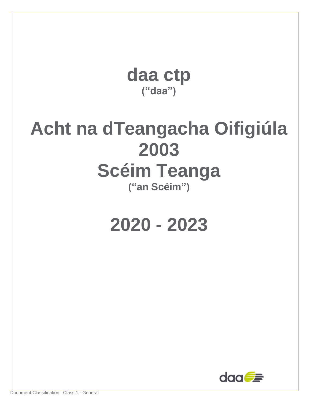

## **Acht na dTeangacha Oifigiúla 2003 Scéim Teanga ("an Scéim")**

# **2020 - 2023**

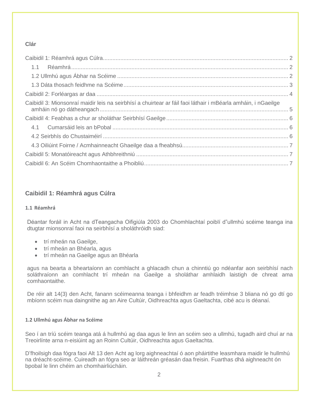## **Clár**

| Caibidil 3: Mionsonraí maidir leis na seirbhísí a chuirtear ar fáil faoi láthair i mBéarla amháin, i nGaeilge |  |
|---------------------------------------------------------------------------------------------------------------|--|
|                                                                                                               |  |
|                                                                                                               |  |
|                                                                                                               |  |
|                                                                                                               |  |
|                                                                                                               |  |
|                                                                                                               |  |

## <span id="page-1-0"></span>**Caibidil 1: Réamhrá agus Cúlra**

#### <span id="page-1-1"></span>**1.1 Réamhrá**

Déantar foráil in Acht na dTeangacha Oifigiúla 2003 do Chomhlachtaí poiblí d"ullmhú scéime teanga ina dtugtar mionsonraí faoi na seirbhísí a sholáthróidh siad:

- trí mheán na Gaeilge,
- trí mheán an Bhéarla, agus
- trí mheán na Gaeilge agus an Bhéarla

agus na bearta a bheartaíonn an comhlacht a ghlacadh chun a chinntiú go ndéanfar aon seirbhísí nach soláthraíonn an comhlacht trí mheán na Gaeilge a sholáthar amhlaidh laistigh de chreat ama comhaontaithe.

De réir alt 14(3) den Acht, fanann scéimeanna teanga i bhfeidhm ar feadh tréimhse 3 bliana nó go dtí go mbíonn scéim nua daingnithe ag an Aire Cultúir, Oidhreachta agus Gaeltachta, cibé acu is déanaí.

#### <span id="page-1-2"></span>**1.2 Ullmhú agus Ábhar na Scéime**

Seo í an tríú scéim teanga atá á hullmhú ag daa agus le linn an scéim seo a ullmhú, tugadh aird chuí ar na Treoirlínte arna n-eisiúint ag an Roinn Cultúir, Oidhreachta agus Gaeltachta.

D'fhoilsigh daa fógra faoi Alt 13 den Acht ag lorg aighneachtaí ó aon pháirtithe leasmhara maidir le hullmhú na dréacht-scéime. Cuireadh an fógra seo ar láithreán gréasán daa freisin. Fuarthas dhá aighneacht ón bpobal le linn chéim an chomhairliúcháin.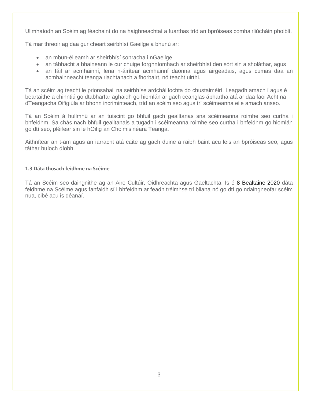Ullmhaíodh an Scéim ag féachaint do na haighneachtaí a fuarthas tríd an bpróiseas comhairliúcháin phoiblí.

Tá mar threoir ag daa gur cheart seirbhísí Gaeilge a bhunú ar:

- an mbun-éileamh ar sheirbhísí sonracha i nGaeilge,
- an tábhacht a bhaineann le cur chuige forghníomhach ar sheirbhísí den sórt sin a sholáthar, agus
- an fáil ar acmhainní, lena n-áirítear acmhainní daonna agus airgeadais, agus cumas daa an acmhainneacht teanga riachtanach a fhorbairt, nó teacht uirthi.

Tá an scéim ag teacht le prionsabail na seirbhíse ardcháilíochta do chustaiméirí. Leagadh amach í agus é beartaithe a chinntiú go dtabharfar aghaidh go hiomlán ar gach ceanglas ábhartha atá ar daa faoi Acht na dTeangacha Oifigiúla ar bhonn incriminteach, tríd an scéim seo agus trí scéimeanna eile amach anseo.

Tá an Scéim á hullmhú ar an tuiscint go bhfuil gach gealltanas sna scéimeanna roimhe seo curtha i bhfeidhm. Sa chás nach bhfuil gealltanais a tugadh i scéimeanna roimhe seo curtha i bhfeidhm go hiomlán go dtí seo, pléifear sin le hOifig an Choimisinéara Teanga.

Aithnítear an t-am agus an iarracht atá caite ag gach duine a raibh baint acu leis an bpróiseas seo, agus táthar buíoch díobh.

#### <span id="page-2-0"></span>**1.3 Dáta thosach feidhme na Scéime**

Tá an Scéim seo daingnithe ag an Aire Cultúir, Oidhreachta agus Gaeltachta. Is é 8 Bealtaine 2020 dáta feidhme na Scéime agus fanfaidh sí i bhfeidhm ar feadh tréimhse trí bliana nó go dtí go ndaingneofar scéim nua, cibé acu is déanaí.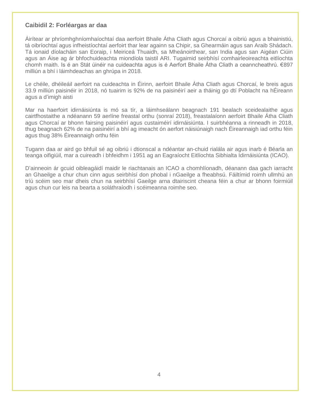#### <span id="page-3-0"></span>**Caibidil 2: Forléargas ar daa**

Áirítear ar phríomhghníomhaíochtaí daa aerfoirt Bhaile Átha Cliath agus Chorcaí a oibriú agus a bhainistiú, tá oibríochtaí agus infheistíochtaí aerfoirt thar lear againn sa Chipir, sa Ghearmáin agus san Araib Shádach. Tá ionaid díolacháin san Eoraip, i Meiriceá Thuaidh, sa Mheánoirthear, san India agus san Aigéan Ciúin agus an Áise ag ár bhfochuideachta miondíola taistil ARI. Tugaimid seirbhísí comhairleoireachta eitlíochta chomh maith. Is é an Stát úinéir na cuideachta agus is é Aerfort Bhaile Átha Cliath a ceanncheathrú. €897 milliún a bhí i láimhdeachas an ghrúpa in 2018.

Le chéile, dhéileáil aerfoirt na cuideachta in Éirinn, aerfoirt Bhaile Átha Cliath agus Chorcaí, le breis agus 33.9 milliún paisinéir in 2018, nó tuairim is 92% de na paisinéirí aeir a tháinig go dtí Poblacht na hÉireann agus a d'imigh aisti

Mar na haerfoirt idirnáisiúnta is mó sa tír, a láimhseálann beagnach 191 bealach sceidealaithe agus cairtfhostaithe a ndéanann 59 aerlíne freastal orthu (sonraí 2018), freastalaíonn aerfoirt Bhaile Átha Cliath agus Chorcaí ar bhonn fairsing paisinéirí agus custaiméirí idirnáisiúnta. I suirbhéanna a rinneadh in 2018, thug beagnach 62% de na paisinéirí a bhí ag imeacht ón aerfort náisiúnaigh nach Éireannaigh iad orthu féin agus thug 38% Éireannaigh orthu féin

Tugann daa ar aird go bhfuil sé ag oibriú i dtionscal a ndéantar an-chuid rialála air agus inarb é Béarla an teanga oifigiúil, mar a cuireadh i bhfeidhm i 1951 ag an Eagraíocht Eitlíochta Sibhialta Idirnáisiúnta (ICAO).

D'ainneoin ár gcuid oibleagáidí maidir le riachtanais an ICAO a chomhlíonadh, déanann daa gach iarracht an Ghaeilge a chur chun cinn agus seirbhísí don phobal i nGaeilge a fheabhsú. Fáiltímid roimh ullmhú an tríú scéim seo mar dheis chun na seirbhísí Gaeilge arna dtairiscint cheana féin a chur ar bhonn foirmiúil agus chun cur leis na bearta a soláthraíodh i scéimeanna roimhe seo.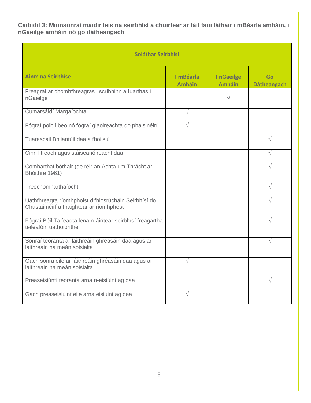<span id="page-4-0"></span>**Caibidil 3: Mionsonraí maidir leis na seirbhísí a chuirtear ar fáil faoi láthair i mBéarla amháin, i nGaeilge amháin nó go dátheangach**

| Soláthar Seirbhísí                                                                              |                            |                            |                          |  |
|-------------------------------------------------------------------------------------------------|----------------------------|----------------------------|--------------------------|--|
| <b>Ainm na Seirbhíse</b>                                                                        | I mBéarla<br><b>Amháin</b> | InGaeilge<br><b>Amháin</b> | Go<br><b>Dátheangach</b> |  |
| Freagraí ar chomhfhreagras i scríbhinn a fuarthas i<br>nGaeilge                                 |                            | V                          |                          |  |
| Cumarsáidí Margaíochta                                                                          | $\sqrt{}$                  |                            |                          |  |
| Fógraí poiblí beo nó fógraí glaoireachta do phaisinéirí                                         | V                          |                            |                          |  |
| Tuarascáil Bhliantúil daa a fhoilsiú                                                            |                            |                            | $\sqrt{}$                |  |
| Cinn litreach agus stáiseanóireacht daa                                                         |                            |                            |                          |  |
| Comharthaí bóthair (de réir an Achta um Thrácht ar<br>Bhóithre 1961)                            |                            |                            |                          |  |
| Treochomharthaíocht                                                                             |                            |                            | $\sqrt{}$                |  |
| Uathfhreagra ríomhphoist d'fhiosrúcháin Seirbhísí do<br>Chustaiméirí a fhaightear ar ríomhphost |                            |                            |                          |  |
| Fógraí Béil Taifeadta lena n-áirítear seirbhísí freagartha<br>teileafóin uathoibrithe           |                            |                            |                          |  |
| Sonraí teoranta ar láithreáin ghréasáin daa agus ar<br>láithreáin na meán sóisialta             |                            |                            | $\sqrt{}$                |  |
| Gach sonra eile ar láithreáin ghréasáin daa agus ar<br>láithreáin na meán sóisialta             | N                          |                            |                          |  |
| Preaseisiúntí teoranta arna n-eisiúint ag daa                                                   |                            |                            | V                        |  |
| Gach preaseisiúint eile arna eisiúint ag daa                                                    | V                          |                            |                          |  |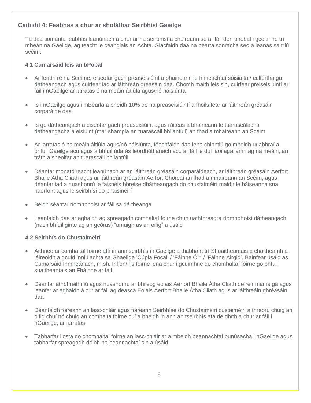## <span id="page-5-0"></span>**Caibidil 4: Feabhas a chur ar sholáthar Seirbhísí Gaeilge**

Tá daa tiomanta feabhas leanúnach a chur ar na seirbhísí a chuireann sé ar fáil don phobal i gcoitinne trí mheán na Gaeilge, ag teacht le ceanglais an Achta. Glacfaidh daa na bearta sonracha seo a leanas sa tríú scéim:

#### <span id="page-5-1"></span>**4.1 Cumarsáid leis an bPobal**

- Ar feadh ré na Scéime, eiseofar gach preaseisiúint a bhaineann le himeachtaí sóisialta / cultúrtha go dátheangach agus cuirfear iad ar láithreán gréasáin daa. Chomh maith leis sin, cuirfear preiseisiúintí ar fáil i nGaeilge ar iarratas ó na meáin áitiúla agus/nó náisiúnta
- Is i nGaeilge agus i mBéarla a bheidh 10% de na preaseisiúintí a fhoilsítear ar láithreán gréasáin corparáide daa
- Is go dátheangach a eiseofar gach preaseisiúint agus ráiteas a bhaineann le tuarascálacha dátheangacha a eisiúint (mar shampla an tuarascáil bhliantúil) an fhad a mhaireann an Scéim
- Ar iarratas ó na meáin áitiúla agus/nó náisiúnta, féachfaidh daa lena chinntiú go mbeidh urlabhraí a bhfuil Gaeilge acu agus a bhfuil údarás leordhóthanach acu ar fáil le dul faoi agallamh ag na meáin, an tráth a sheolfar an tuarascáil bhliantúil
- Déanfar monatóireacht leanúnach ar an láithreán gréasáin corparáideach, ar láithreán gréasáin Aerfort Bhaile Átha Cliath agus ar láithreán gréasáin Aerfort Chorcaí an fhad a mhaireann an Scéim, agus déanfar iad a nuashonrú le faisnéis bhreise dhátheangach do chustaiméirí maidir le háiseanna sna haerfoirt agus le seirbhísí do phaisinéirí
- Beidh séantaí ríomhphoist ar fáil sa dá theanga
- Leanfaidh daa ar aghaidh ag spreagadh comhaltaí foirne chun uathfhreagra ríomhphoist dátheangach (nach bhfuil ginte ag an gcóras) "amuigh as an oifig" a úsáid

#### <span id="page-5-2"></span>**4.2 Seirbhís do Chustaiméirí**

- Aithneofar comhaltaí foirne atá in ann seirbhís i nGaeilge a thabhairt trí Shuaitheantais a chaitheamh a léireoidh a gcuid inniúlachta sa Ghaeilge 'Cúpla Focal' / 'Fáinne Óir' / 'Fáinne Airgid'. Bainfear úsáid as Cumarsáid Inmheánach, m.sh. Inlíon/iris foirne lena chur i gcuimhne do chomhaltaí foirne go bhfuil suaitheantais an Fháinne ar fáil.
- Déanfar athbhreithniú agus nuashonrú ar bhileog eolais Aerfort Bhaile Átha Cliath de réir mar is gá agus leanfar ar aghaidh á cur ar fáil ag deasca Eolais Aerfort Bhaile Átha Cliath agus ar láithreáin ghréasáin daa
- Déanfaidh foireann an lasc-chláir agus foireann Seirbhíse do Chustaiméirí custaiméirí a threorú chuig an oifig chuí nó chuig an comhalta foirne cuí a bheidh in ann an tseirbhís atá de dhíth a chur ar fáil i nGaeilge, ar iarratas
- Tabharfar liosta do chomhaltaí foirne an lasc-chláir ar a mbeidh beannachtaí bunúsacha i nGaeilge agus tabharfar spreagadh dóibh na beannachtaí sin a úsáid